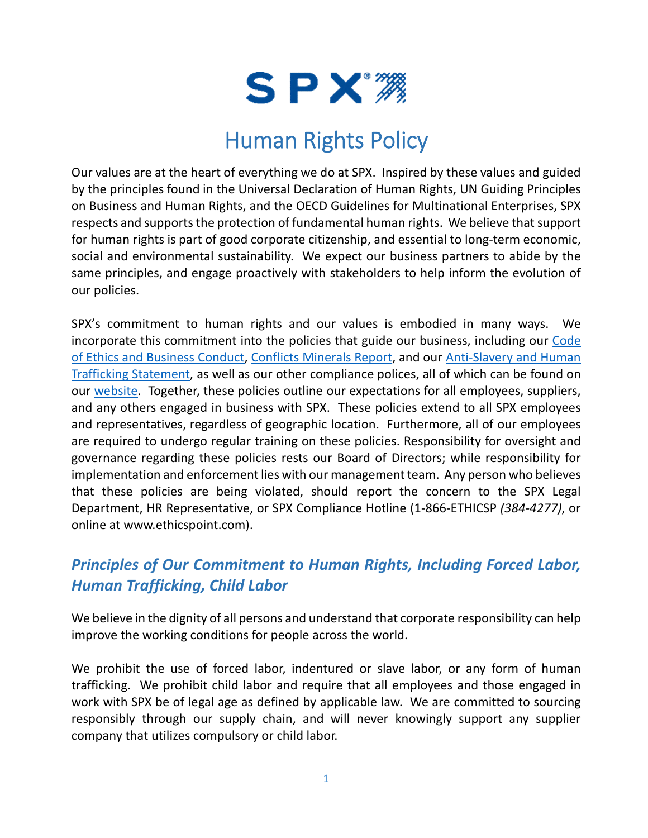

## Human Rights Policy

Our values are at the heart of everything we do at SPX. Inspired by these values and guided by the principles found in the Universal Declaration of Human Rights, UN Guiding Principles on Business and Human Rights, and the OECD Guidelines for Multinational Enterprises, SPX respects and supports the protection of fundamental human rights. We believe that support for human rights is part of good corporate citizenship, and essential to long-term economic, social and environmental sustainability. We expect our business partners to abide by the same principles, and engage proactively with stakeholders to help inform the evolution of our policies.

SPX's commitment to human rights and our values is embodied in many ways. We incorporate this commitment into the policies that guide our business, including our Code [of Ethics and Business Conduct,](https://www.spx.com/wp-content/uploads/2018/08/SPX_COC_FINAL.pdf) [Conflicts Minerals Report,](https://www.spx.com/investor-relations/corporate-governance/conflict-minerals/) and our [Anti-Slavery and Human](https://www.spx.com/investor-relations/corporate-governance/supply-chain/)  [Trafficking Statement,](https://www.spx.com/investor-relations/corporate-governance/supply-chain/) as well as our other compliance polices, all of which can be found on our [website.](https://www.spx.com/our-company/esg-reporting/) Together, these policies outline our expectations for all employees, suppliers, and any others engaged in business with SPX. These policies extend to all SPX employees and representatives, regardless of geographic location. Furthermore, all of our employees are required to undergo regular training on these policies. Responsibility for oversight and governance regarding these policies rests our Board of Directors; while responsibility for implementation and enforcement lies with our management team. Any person who believes that these policies are being violated, should report the concern to the SPX Legal Department, HR Representative, or SPX Compliance Hotline (1-866-ETHICSP *(384-4277)*, or online at www.ethicspoint.com).

## *Principles of Our Commitment to Human Rights, Including Forced Labor, Human Trafficking, Child Labor*

We believe in the dignity of all persons and understand that corporate responsibility can help improve the working conditions for people across the world.

We prohibit the use of forced labor, indentured or slave labor, or any form of human trafficking. We prohibit child labor and require that all employees and those engaged in work with SPX be of legal age as defined by applicable law. We are committed to sourcing responsibly through our supply chain, and will never knowingly support any supplier company that utilizes compulsory or child labor.